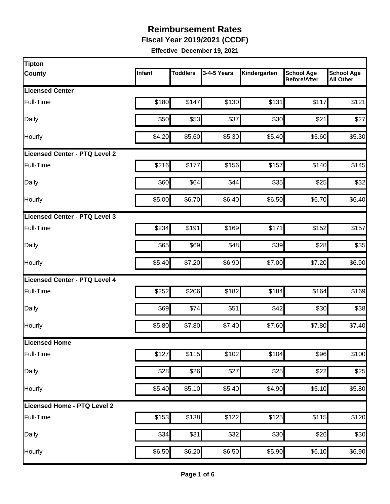**Fiscal Year 2019/2021 (CCDF)** 

| Tipton                               |        |                 |             |              |                                          |                                       |
|--------------------------------------|--------|-----------------|-------------|--------------|------------------------------------------|---------------------------------------|
| <b>County</b>                        | Infant | <b>Toddlers</b> | 3-4-5 Years | Kindergarten | <b>School Age</b><br><b>Before/After</b> | <b>School Age</b><br><b>All Other</b> |
| <b>Licensed Center</b>               |        |                 |             |              |                                          |                                       |
| Full-Time                            | \$180  | \$147           | \$130       | \$131        | \$117                                    | \$121                                 |
| Daily                                | \$50   | \$53            | \$37        | \$30         | \$21                                     | \$27                                  |
| Hourly                               | \$4.20 | \$5.60          | \$5.30      | \$5.40       | \$5.60                                   | \$5.30                                |
| <b>Licensed Center - PTQ Level 2</b> |        |                 |             |              |                                          |                                       |
| Full-Time                            | \$216  | \$177           | \$156       | \$157        | \$140                                    | \$145                                 |
| Daily                                | \$60   | \$64            | \$44        | \$35         | \$25                                     | \$32                                  |
| <b>Hourly</b>                        | \$5.00 | \$6.70          | \$6.40      | \$6.50       | \$6.70                                   | \$6.40                                |
| Licensed Center - PTQ Level 3        |        |                 |             |              |                                          |                                       |
| Full-Time                            | \$234  | \$191           | \$169       | \$171        | \$152                                    | \$157                                 |
| Daily                                | \$65   | \$69            | \$48        | \$39         | \$28                                     | \$35                                  |
| Hourly                               | \$5.40 | \$7.20          | \$6.90      | \$7.00       | \$7.20                                   | \$6.90                                |
| Licensed Center - PTQ Level 4        |        |                 |             |              |                                          |                                       |
| Full-Time                            | \$252  | \$206           | \$182       | \$184        | \$164                                    | \$169                                 |
| Daily                                | \$69   | \$74            | \$51        | \$42         | \$30                                     | \$38                                  |
| Hourly                               | \$5.80 | \$7.80          | \$7.40      | \$7.60       | \$7.80                                   | \$7.40                                |
| Licensed Home                        |        |                 |             |              |                                          |                                       |
| Full-Time                            | \$127  | \$115           | \$102       | \$104        | \$96                                     | \$100                                 |
| Daily                                | \$28   | \$26            | \$27        | \$25         | \$22                                     | \$25                                  |
| Hourly                               | \$5.40 | \$5.10          | \$5.40      | \$4.90       | \$5.10                                   | \$5.80                                |
| Licensed Home - PTQ Level 2          |        |                 |             |              |                                          |                                       |
| Full-Time                            | \$153  | \$138           | \$122       | \$125        | \$115                                    | \$120                                 |
| Daily                                | \$34   | \$31            | \$32        | \$30         | \$26                                     | \$30                                  |
| Hourly                               | \$6.50 | \$6.20          | \$6.50      | \$5.90       | \$6.10                                   | \$6.90                                |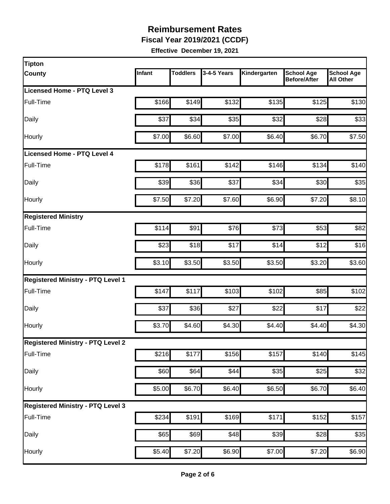**Fiscal Year 2019/2021 (CCDF)** 

| <b>Tipton</b>                            |        |                 |             |              |                                          |                                       |
|------------------------------------------|--------|-----------------|-------------|--------------|------------------------------------------|---------------------------------------|
| <b>County</b>                            | Infant | <b>Toddlers</b> | 3-4-5 Years | Kindergarten | <b>School Age</b><br><b>Before/After</b> | <b>School Age</b><br><b>All Other</b> |
| Licensed Home - PTQ Level 3              |        |                 |             |              |                                          |                                       |
| Full-Time                                | \$166  | \$149           | \$132       | \$135        | \$125                                    | \$130                                 |
| Daily                                    | \$37   | \$34            | \$35        | \$32         | \$28                                     | \$33                                  |
| Hourly                                   | \$7.00 | \$6.60          | \$7.00      | \$6.40       | \$6.70                                   | \$7.50                                |
| Licensed Home - PTQ Level 4              |        |                 |             |              |                                          |                                       |
| Full-Time                                | \$178  | \$161           | \$142       | \$146        | \$134                                    | \$140                                 |
| Daily                                    | \$39   | \$36            | \$37        | \$34         | \$30                                     | \$35                                  |
| <b>Hourly</b>                            | \$7.50 | \$7.20          | \$7.60      | \$6.90       | \$7.20                                   | \$8.10                                |
| <b>Registered Ministry</b>               |        |                 |             |              |                                          |                                       |
| Full-Time                                | \$114  | \$91            | \$76        | \$73         | \$53                                     | \$82                                  |
| Daily                                    | \$23   | \$18            | \$17        | \$14         | \$12                                     | \$16                                  |
| Hourly                                   | \$3.10 | \$3.50          | \$3.50      | \$3.50       | \$3.20                                   | \$3.60                                |
| <b>Registered Ministry - PTQ Level 1</b> |        |                 |             |              |                                          |                                       |
| Full-Time                                | \$147  | \$117           | \$103       | \$102        | \$85                                     | \$102                                 |
| Daily                                    | \$37   | \$36            | \$27        | \$22         | \$17                                     | \$22                                  |
| Hourly                                   | \$3.70 | \$4.60          | \$4.30      | \$4.40       | \$4.40                                   | \$4.30                                |
| <b>Registered Ministry - PTQ Level 2</b> |        |                 |             |              |                                          |                                       |
| Full-Time                                | \$216  | \$177           | \$156       | \$157        | \$140                                    | \$145                                 |
| Daily                                    | \$60   | \$64            | \$44        | \$35         | \$25                                     | \$32                                  |
| Hourly                                   | \$5.00 | \$6.70          | \$6.40      | \$6.50       | \$6.70                                   | \$6.40                                |
| <b>Registered Ministry - PTQ Level 3</b> |        |                 |             |              |                                          |                                       |
| Full-Time                                | \$234  | \$191           | \$169       | \$171        | \$152                                    | \$157                                 |
| Daily                                    | \$65   | \$69            | \$48        | \$39         | \$28                                     | \$35                                  |
| Hourly                                   | \$5.40 | \$7.20          | \$6.90      | \$7.00       | \$7.20                                   | \$6.90                                |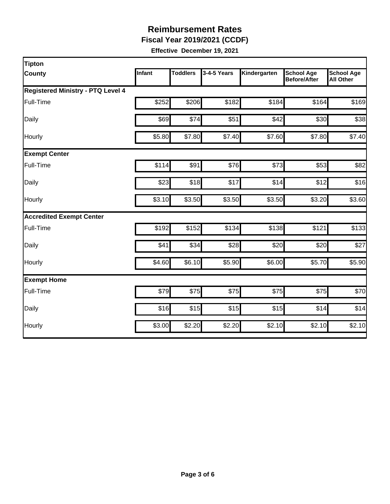**Fiscal Year 2019/2021 (CCDF)** 

| <b>Tipton</b>                            |                  |                 |             |              |                                          |                                       |
|------------------------------------------|------------------|-----------------|-------------|--------------|------------------------------------------|---------------------------------------|
| <b>County</b>                            | <b>Infant</b>    | <b>Toddlers</b> | 3-4-5 Years | Kindergarten | <b>School Age</b><br><b>Before/After</b> | <b>School Age</b><br><b>All Other</b> |
| <b>Registered Ministry - PTQ Level 4</b> |                  |                 |             |              |                                          |                                       |
| Full-Time                                | \$252            | \$206           | \$182       | \$184        | \$164                                    | \$169                                 |
| Daily                                    | \$69             | \$74            | \$51        | \$42         | \$30                                     | \$38                                  |
| Hourly                                   | \$5.80           | \$7.80          | \$7.40      | \$7.60       | \$7.80                                   | \$7.40                                |
| <b>Exempt Center</b>                     |                  |                 |             |              |                                          |                                       |
| Full-Time                                | \$114            | \$91            | \$76        | \$73         | \$53                                     | \$82                                  |
| Daily                                    | \$23             | \$18            | \$17        | \$14         | \$12                                     | \$16                                  |
| Hourly                                   | \$3.10           | \$3.50          | \$3.50      | \$3.50       | \$3.20                                   | \$3.60                                |
| <b>Accredited Exempt Center</b>          |                  |                 |             |              |                                          |                                       |
| Full-Time                                | \$192            | \$152           | \$134       | \$138        | \$121                                    | \$133                                 |
| Daily                                    | \$41             | \$34            | \$28        | \$20         | \$20                                     | \$27                                  |
| Hourly                                   | \$4.60           | \$6.10          | \$5.90      | \$6.00       | \$5.70                                   | \$5.90                                |
| <b>Exempt Home</b>                       |                  |                 |             |              |                                          |                                       |
| Full-Time                                | $\overline{$79}$ | \$75            | \$75        | \$75         | \$75                                     | \$70                                  |
| Daily                                    | \$16             | \$15            | \$15        | \$15         | \$14                                     | \$14                                  |
| Hourly                                   | \$3.00           | \$2.20          | \$2.20      | \$2.10       | \$2.10                                   | \$2.10                                |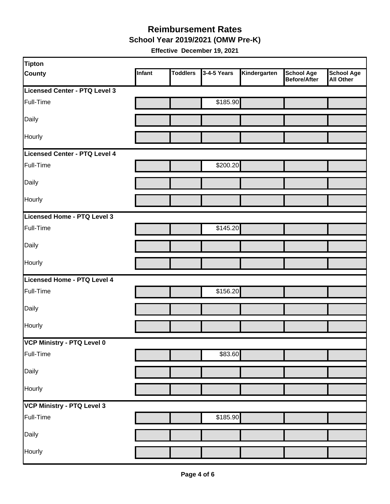**School Year 2019/2021 (OMW Pre-K)** 

| <b>Tipton</b>                 |        |                 |             |              |                                          |                         |
|-------------------------------|--------|-----------------|-------------|--------------|------------------------------------------|-------------------------|
| <b>County</b>                 | Infant | <b>Toddlers</b> | 3-4-5 Years | Kindergarten | <b>School Age</b><br><b>Before/After</b> | School Age<br>All Other |
| Licensed Center - PTQ Level 3 |        |                 |             |              |                                          |                         |
| Full-Time                     |        |                 | \$185.90    |              |                                          |                         |
| Daily                         |        |                 |             |              |                                          |                         |
| Hourly                        |        |                 |             |              |                                          |                         |
| Licensed Center - PTQ Level 4 |        |                 |             |              |                                          |                         |
| Full-Time                     |        |                 | \$200.20    |              |                                          |                         |
| Daily                         |        |                 |             |              |                                          |                         |
| Hourly                        |        |                 |             |              |                                          |                         |
| Licensed Home - PTQ Level 3   |        |                 |             |              |                                          |                         |
| Full-Time                     |        |                 | \$145.20    |              |                                          |                         |
| Daily                         |        |                 |             |              |                                          |                         |
| Hourly                        |        |                 |             |              |                                          |                         |
| Licensed Home - PTQ Level 4   |        |                 |             |              |                                          |                         |
| Full-Time                     |        |                 | \$156.20    |              |                                          |                         |
| Daily                         |        |                 |             |              |                                          |                         |
| Hourly                        |        |                 |             |              |                                          |                         |
| VCP Ministry - PTQ Level 0    |        |                 |             |              |                                          |                         |
| Full-Time                     |        |                 | \$83.60     |              |                                          |                         |
| Daily                         |        |                 |             |              |                                          |                         |
| Hourly                        |        |                 |             |              |                                          |                         |
| VCP Ministry - PTQ Level 3    |        |                 |             |              |                                          |                         |
| Full-Time                     |        |                 | \$185.90    |              |                                          |                         |
| Daily                         |        |                 |             |              |                                          |                         |
| Hourly                        |        |                 |             |              |                                          |                         |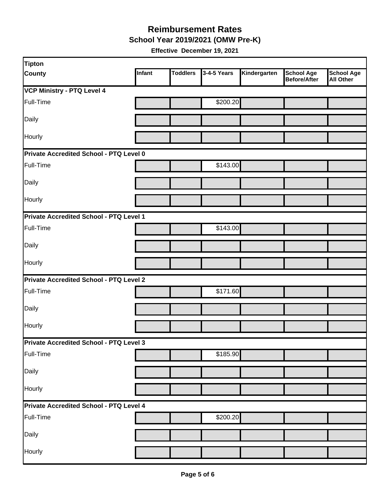**School Year 2019/2021 (OMW Pre-K)** 

| <b>Tipton</b>                           |        |                 |             |              |                                   |                                       |
|-----------------------------------------|--------|-----------------|-------------|--------------|-----------------------------------|---------------------------------------|
| <b>County</b>                           | Infant | <b>Toddlers</b> | 3-4-5 Years | Kindergarten | <b>School Age</b><br>Before/After | <b>School Age</b><br><b>All Other</b> |
| <b>VCP Ministry - PTQ Level 4</b>       |        |                 |             |              |                                   |                                       |
| Full-Time                               |        |                 | \$200.20    |              |                                   |                                       |
| Daily                                   |        |                 |             |              |                                   |                                       |
| Hourly                                  |        |                 |             |              |                                   |                                       |
| Private Accredited School - PTQ Level 0 |        |                 |             |              |                                   |                                       |
| Full-Time                               |        |                 | \$143.00    |              |                                   |                                       |
| Daily                                   |        |                 |             |              |                                   |                                       |
| Hourly                                  |        |                 |             |              |                                   |                                       |
| Private Accredited School - PTQ Level 1 |        |                 |             |              |                                   |                                       |
| Full-Time                               |        |                 | \$143.00    |              |                                   |                                       |
| Daily                                   |        |                 |             |              |                                   |                                       |
| Hourly                                  |        |                 |             |              |                                   |                                       |
| Private Accredited School - PTQ Level 2 |        |                 |             |              |                                   |                                       |
| Full-Time                               |        |                 | \$171.60    |              |                                   |                                       |
| Daily                                   |        |                 |             |              |                                   |                                       |
| Hourly                                  |        |                 |             |              |                                   |                                       |
| Private Accredited School - PTQ Level 3 |        |                 |             |              |                                   |                                       |
| Full-Time                               |        |                 | \$185.90    |              |                                   |                                       |
| Daily                                   |        |                 |             |              |                                   |                                       |
| Hourly                                  |        |                 |             |              |                                   |                                       |
| Private Accredited School - PTQ Level 4 |        |                 |             |              |                                   |                                       |
| Full-Time                               |        |                 | \$200.20    |              |                                   |                                       |
| Daily                                   |        |                 |             |              |                                   |                                       |
| Hourly                                  |        |                 |             |              |                                   |                                       |